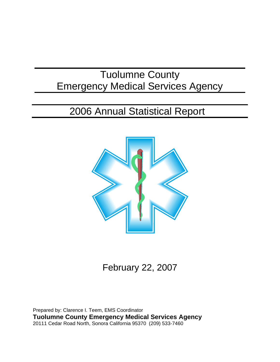# Tuolumne County Emergency Medical Services Agency

# 2006 Annual Statistical Report



February 22, 2007

Prepared by: Clarence I. Teem, EMS Coordinator **Tuolumne County Emergency Medical Services Agency** 20111 Cedar Road North, Sonora California 95370 (209) 533-7460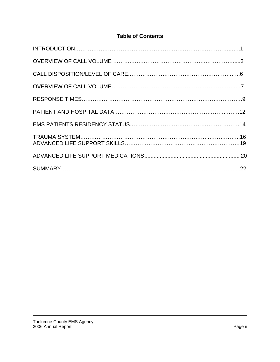# **Table of Contents**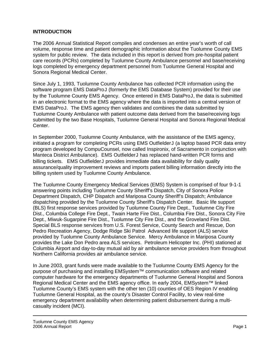## **INTRODUCTION**

The 2006 Annual Statistical Report compiles and condenses an entire year's worth of call volume, response time and patient demographic information about the Tuolumne County EMS system for public review. The data included in this report is derived from pre-hospital patient care records (PCRs) completed by Tuolumne County Ambulance personnel and base/receiving logs completed by emergency department personnel from Tuolumne General Hospital and Sonora Regional Medical Center.

Since July 1, 1993, Tuolumne County Ambulance has collected PCR information using the software program EMS DataProJ (formerly the EMS Database System) provided for their use by the Tuolumne County EMS Agency. Once entered in EMS DataProJ, the data is submitted in an electronic format to the EMS agency where the data is imported into a central version of EMS DataProJ. The EMS agency then validates and combines the data submitted by Tuolumne County Ambulance with patient outcome data derived from the base/receiving logs submitted by the two Base Hospitals, Tuolumne General Hospital and Sonora Regional Medical Center.

In September 2000, Tuolumne County Ambulance, with the assistance of the EMS agency,  $initialed$  a program for completing PCRs using EMS Outfielder $J$  (a laptop based PCR data entry program developed by CompuCounsel, now called Inspironix, of Sacramento in conjunction with Manteca District Ambulance). EMS OutfielderJ has replaced hand-written PCR forms and billing tickets. EMS OutfielderJ provides immediate data availability for daily quality assurance/quality improvement reviews and imports patient billing information directly into the billing system used by Tuolumne County Ambulance.

The Tuolumne County Emergency Medical Services (EMS) System is comprised of four 9-1-1 answering points including Tuolumne County Sheriff's Dispatch, City of Sonora Police Department Dispatch, CHP Dispatch and Mariposa County Sheriff's Dispatch; Ambulance dispatching provided by the Tuolumne County Sheriff's Dispatch Center. Basic life support (BLS) first response services provided by Tuolumne County Fire Dept., Tuolumne City Fire Dist., Columbia College Fire Dept., Twain Harte Fire Dist., Columbia Fire Dist., Sonora City Fire Dept., Miwuk-Sugarpine Fire Dist., Tuolumne City Fire Dist., and the Groveland Fire Dist. Special BLS response services from U.S. Forest Service, County Search and Rescue, Don Pedro Recreation Agency, Dodge Ridge Ski Patrol Advanced life support (ALS) service provided by Tuolumne County Ambulance Service. Mercy Ambulance in Mariposa County provides the Lake Don Pedro area ALS services. Petroleum Helicopter Inc. (PHI) stationed at Columbia Airport and day-to-day mutual aid by air ambulance service providers from throughout Northern California provides air ambulance service.

In June 2003, grant funds were made available to the Tuolumne County EMS Agency for the purpose of purchasing and installing EMSystem™ communication software and related computer hardware for the emergency departments of Tuolumne General Hospital and Sonora Regional Medical Center and the EMS agency office. In early 2004, EMSystem™ linked Tuolumne County's EMS system with the other ten (10) counties of OES Region IV enabling Tuolumne General Hospital, as the county's Disaster Control Facility, to view real-time emergency department availability when determining patient disbursement during a multicasualty incident (MCI).

Tuolumne County EMS Agency 2006 Annual Report **Page 1** 2006 Annual Report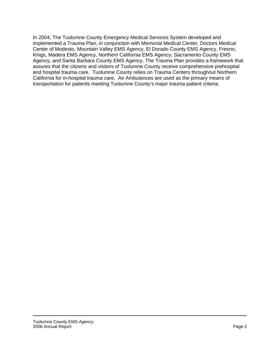In 2004, The Tuolumne County Emergency Medical Services System developed and implemented a Trauma Plan, in conjunction with Memorial Medical Center, Doctors Medical Center of Modesto, Mountain Valley EMS Agency, El Dorado County EMS Agency, Fresno, Kings, Madera EMS Agency, Northern California EMS Agency, Sacramento County EMS Agency, and Santa Barbara County EMS Agency. The Trauma Plan provides a framework that assures that the citizens and visitors of Tuolumne County receive comprehensive prehospital and hospital trauma care. Tuolumne County relies on Trauma Centers throughout Northern California for in-hospital trauma care. Air Ambulances are used as the primary means of transportation for patients meeting Tuolumne County's major trauma patient criteria.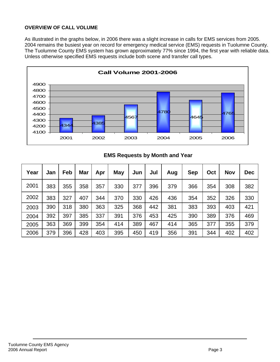# **OVERVIEW OF CALL VOLUME**

As illustrated in the graphs below, in 2006 there was a slight increase in calls for EMS services from 2005. 2004 remains the busiest year on record for emergency medical service (EMS) requests in Tuolumne County. The Tuolumne County EMS system has grown approximately 77% since 1994, the first year with reliable data. Unless otherwise specified EMS requests include both scene and transfer call types.



| Year | Jan | Feb | <b>Mar</b> | Apr | May | Jun | Jul | Aug | <b>Sep</b> | Oct | <b>Nov</b> | <b>Dec</b> |
|------|-----|-----|------------|-----|-----|-----|-----|-----|------------|-----|------------|------------|
| 2001 | 383 | 355 | 358        | 357 | 330 | 377 | 396 | 379 | 366        | 354 | 308        | 382        |
| 2002 | 383 | 327 | 407        | 344 | 370 | 330 | 426 | 436 | 354        | 352 | 326        | 330        |
| 2003 | 390 | 318 | 380        | 363 | 325 | 368 | 442 | 381 | 383        | 393 | 403        | 421        |
| 2004 | 392 | 397 | 385        | 337 | 391 | 376 | 453 | 425 | 390        | 389 | 376        | 469        |
| 2005 | 363 | 369 | 399        | 354 | 414 | 389 | 467 | 414 | 365        | 377 | 355        | 379        |
| 2006 | 379 | 396 | 428        | 403 | 395 | 450 | 419 | 356 | 391        | 344 | 402        | 402        |

# **EMS Requests by Month and Year**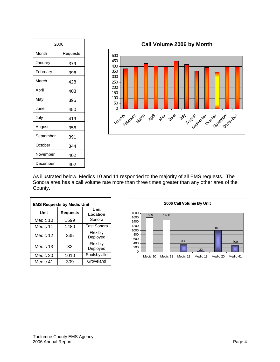| 2006      |          |  |  |  |
|-----------|----------|--|--|--|
| Month     | Requests |  |  |  |
| January   | 379      |  |  |  |
| February  | 396      |  |  |  |
| March     | 428      |  |  |  |
| April     | 403      |  |  |  |
| May       | 395      |  |  |  |
| June      | 450      |  |  |  |
| July      | 419      |  |  |  |
| August    | 356      |  |  |  |
| September | 391      |  |  |  |
| October   | 344      |  |  |  |
| November  | 402      |  |  |  |
| December  | 402      |  |  |  |

**Call Volume 2006 by Month**



As illustrated below, Medics 10 and 11 responded to the majority of all EMS requests. The Sonora area has a call volume rate more than three times greater than any other area of the County.

| <b>EMS Requests by Medic Unit</b> |                 |                      |  |  |  |  |
|-----------------------------------|-----------------|----------------------|--|--|--|--|
| Unit                              | <b>Requests</b> | Unit<br>Location     |  |  |  |  |
| Medic 10                          | 1599            | Sonora               |  |  |  |  |
| Medic 11                          | 1480            | East Sonora          |  |  |  |  |
| Medic 12                          | 335             | Flexibly<br>Deployed |  |  |  |  |
| Medic 13                          | 32              | Flexibly<br>Deployed |  |  |  |  |
| Medic 20                          | 1010            | Soulsbyville         |  |  |  |  |
| Medic 41                          | 309             | Groveland            |  |  |  |  |

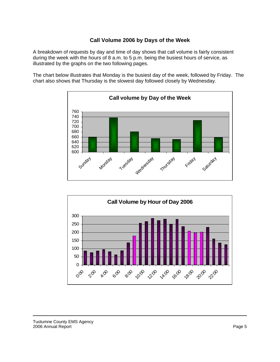## **Call Volume 2006 by Days of the Week**

A breakdown of requests by day and time of day shows that call volume is fairly consistent during the week with the hours of 8 a.m. to 5 p.m. being the busiest hours of service, as illustrated by the graphs on the two following pages.

The chart below illustrates that Monday is the busiest day of the week, followed by Friday. The chart also shows that Thursday is the slowest day followed closely by Wednesday.



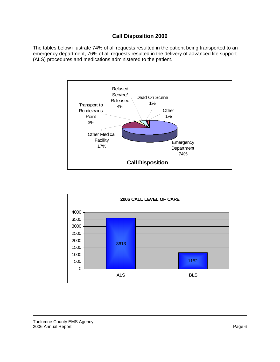# **Call Disposition 2006**

The tables below illustrate 74% of all requests resulted in the patient being transported to an emergency department, 76% of all requests resulted in the delivery of advanced life support (ALS) procedures and medications administered to the patient.



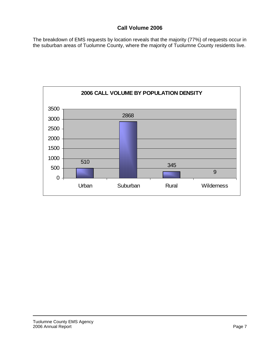# **Call Volume 2006**

The breakdown of EMS requests by location reveals that the majority (77%) of requests occur in the suburban areas of Tuolumne County, where the majority of Tuolumne County residents live.

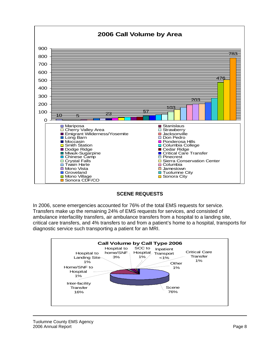

#### **SCENE REQUESTS**

In 2006, scene emergencies accounted for 76% of the total EMS requests for service. Transfers make up the remaining 24% of EMS requests for services, and consisted of ambulance interfacility transfers, air ambulance transfers from a hospital to a landing site, critical care transfers, and 4% transfers to and from a patient's home to a hospital, transports for diagnostic service such transporting a patient for an MRI.

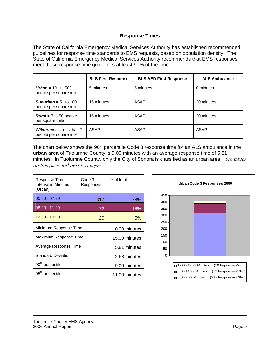#### **Response Times**

The State of California Emergency Medical Services Authority has established recommended guidelines for response time standards to EMS requests, based on population density. The State of California Emergency Medical Services Authority recommends that EMS responses meet these response time guidelines at least 90% of the time.

|                                                             | <b>BLS First Response</b> | <b>BLS AED First Response</b> | <b>ALS Ambulance</b> |
|-------------------------------------------------------------|---------------------------|-------------------------------|----------------------|
| <b>Urban</b> = 101 to 500<br>people per square mile         | 5 minutes                 | 5 minutes                     | 8 minutes            |
| <b>Suburban</b> = 51 to 100<br>people per square mile       | 15 minutes                | ASAP                          | 20 minutes           |
| <b>Rural</b> = $7$ to 50 people<br>per square mile          | 15 minutes                | ASAP                          | 20 minutes           |
| <b>Wilderness</b> = less than $7$<br>people per square mile | ASAP                      | ASAP                          | ASAP                 |

The chart below shows the 90<sup>th</sup> percentile Code 3 response time for an ALS ambulance in the **urban area** of Tuolumne County is 9.00 minutes with an average response time of 5.81 minutes. In Tuolumne County, only the City of Sonora is classified as an urban area. See tables on this page and next two pages.

| Response Time<br>Interval in Minutes<br>(Urban) | Code 3<br>Responses | % of total |
|-------------------------------------------------|---------------------|------------|
| $00:00 - 07:99$                                 | 317                 | 78%        |
| $08:00 - 11:99$                                 | 72                  | 18%        |
| 12:00 - 19:99                                   | 5%                  |            |
| Minimum Response Time                           | 0.00 minutes        |            |
| Maximum Response Time                           | 15.00 minutes       |            |
| Average Response Time                           | 5.81 minutes        |            |
| <b>Standard Deviation</b>                       | 2.68 minutes        |            |
| 90 <sup>th</sup> percentile                     | 9.00 minutes        |            |
| 95 <sup>th</sup> percentile                     | 11.00 minutes       |            |

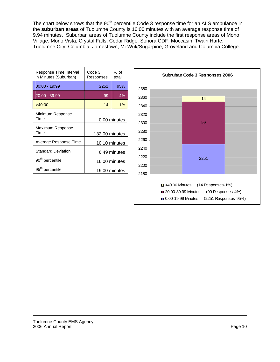The chart below shows that the 90<sup>th</sup> percentile Code 3 response time for an ALS ambulance in the **suburban areas** of Tuolumne County is 16:00 minutes with an average response time of 9.94 minutes. Suburban areas of Tuolumne County include the first response areas of Mono Village, Mono Vista, Crystal Falls, Cedar Ridge, Sonora CDF, Moccasin, Twain Harte, Tuolumne City, Columbia, Jamestown, Mi-Wuk/Sugarpine, Groveland and Columbia College.

| Response Time Interval<br>in Minutes (Suburban) | Code 3<br>Responses | % of<br>total |  |
|-------------------------------------------------|---------------------|---------------|--|
| $00:00 - 19:99$                                 | 2251                | 95%           |  |
| 20:00 - 39:99                                   | 99                  | 4%            |  |
| >40:00                                          | 14                  | $1\%$         |  |
| Minimum Response<br>Time                        |                     | 0.00 minutes  |  |
| Maximum Response<br>Time                        | 132.00 minutes      |               |  |
| Average Response Time                           | 10.10 minutes       |               |  |
| <b>Standard Deviation</b>                       | 6.49 minutes        |               |  |
| 90 <sup>th</sup> percentile                     | 16.00 minutes       |               |  |
| 95 <sup>th</sup> percentile                     | 19.00 minutes       |               |  |

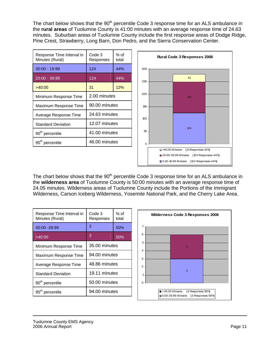The chart below shows that the 90<sup>th</sup> percentile Code 3 response time for an ALS ambulance in the **rural areas** of Tuolumne County is 41:00 minutes with an average response time of 24.63 minutes. Suburban areas of Tuolumne County include the first response areas of Dodge Ridge, Pine Crest, Strawberry, Long Barn, Don Pedro, and the Sierra Conservation Center.

| Response Time Interval in<br>Minutes (Rural) | Code 3<br>Responses | % of<br>total |  |
|----------------------------------------------|---------------------|---------------|--|
| $00:00 - 19:99$                              | 124                 | 44%           |  |
| $20:00 - 39:99$                              | 124                 | 44%           |  |
| >40:00                                       | 31                  | 12%           |  |
| Minimum Response Time                        | 2.00 minutes        |               |  |
| Maximum Response Time                        | 90.00 minutes       |               |  |
| Average Response Time                        | 24.63 minutes       |               |  |
| <b>Standard Deviation</b>                    | 12.07 minutes       |               |  |
| 90 <sup>th</sup> percentile                  | 41.00 minutes       |               |  |
| 95 <sup>th</sup> percentile                  | 46.00 minutes       |               |  |



The chart below shows that the 90<sup>th</sup> percentile Code 3 response time for an ALS ambulance in the **wilderness area** of Tuolumne County is 50:00 minutes with an average response time of 24.05 minutes. Wilderness areas of Tuolumne County include the Portions of the Immigrant Wilderness, Carson Iceberg Wilderness, Yosemite National Park, and the Cherry Lake Area.

| Response Time Interval in<br>Minutes (Rural) | Code 3<br>Responses | % of<br>total |  |
|----------------------------------------------|---------------------|---------------|--|
| 00:00 -39:99                                 | 3                   | 50%           |  |
| >40:00                                       | 3                   | 50%           |  |
| Minimum Response Time                        | 35.00 minutes       |               |  |
| Maximum Response Time                        | 94.00 minutes       |               |  |
| Average Response Time                        | 48.86 minutes       |               |  |
| <b>Standard Deviation</b>                    | 19.11 minutes       |               |  |
| 90 <sup>th</sup> percentile                  | 50.00 minutes       |               |  |
| 95 <sup>th</sup> percentile                  | 94.00 minutes       |               |  |

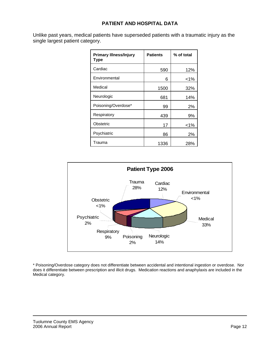## **PATIENT AND HOSPITAL DATA**

Unlike past years, medical patients have superseded patients with a traumatic injury as the single largest patient category.

| <b>Primary Illness/Injury</b><br>Type | <b>Patients</b> | % of total |
|---------------------------------------|-----------------|------------|
| Cardiac                               | 590             | 12%        |
| Environmental                         | 6               | <1%        |
| Medical                               | 1500            | 32%        |
| Neurologic                            | 681             | 14%        |
| Poisoning/Overdose*                   | 99              | 2%         |
| Respiratory                           | 439             | 9%         |
| Obstetric                             | 17              | $<$ 1%     |
| Psychiatric                           | 86              | 2%         |
| Trauma                                | 1336            | 28%        |



\* Poisoning/Overdose category does not differentiate between accidental and intentional ingestion or overdose. Nor does it differentiate between prescription and illicit drugs. Medication reactions and anaphylaxis are included in the Medical category.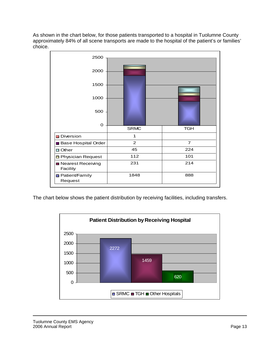As shown in the chart below, for those patients transported to a hospital in Tuolumne County approximately 84% of all scene transports are made to the hospital of the patient's or families' choice.



The chart below shows the patient distribution by receiving facilities, including transfers.

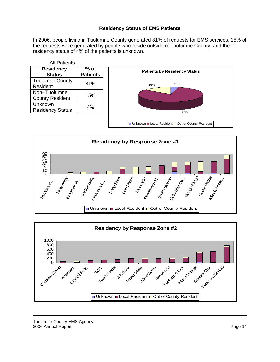## **Residency Status of EMS Patients**

In 2006, people living in Tuolumne County generated 81% of requests for EMS services. 15% of the requests were generated by people who reside outside of Tuolumne County, and the residency status of 4% of the patients is unknown.

| % of<br><b>Patients</b> |
|-------------------------|
|                         |
|                         |
| 81%                     |
|                         |
| 15%                     |
|                         |
| 4%                      |
|                         |
|                         |





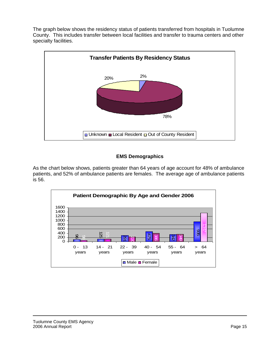The graph below shows the residency status of patients transferred from hospitals in Tuolumne County. This includes transfer between local facilities and transfer to trauma centers and other specialty facilities.



## **EMS Demographics**

As the chart below shows, patients greater than 64 years of age account for 48% of ambulance patients, and 52% of ambulance patients are females. The average age of ambulance patients is 56.

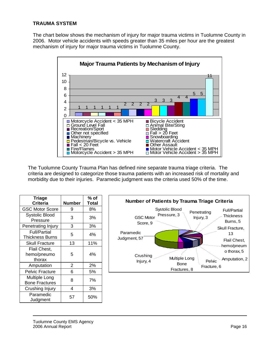## **TRAUMA SYSTEM**

The chart below shows the mechanism of injury for major trauma victims in Tuolumne County in 2006. Motor vehicle accidents with speeds greater than 35 miles per hour are the greatest mechanism of injury for major trauma victims in Tuolumne County.



The Tuolumne County Trauma Plan has defined nine separate trauma triage criteria. The criteria are designed to categorize those trauma patients with an increased risk of mortality and morbidity due to their injuries. Paramedic judgment was the criteria used 50% of the time.

| Triage                                        |                | % of         |
|-----------------------------------------------|----------------|--------------|
| <b>Criteria</b>                               | <b>Number</b>  | <b>Total</b> |
| <b>GSC Motor Score</b>                        | 9              | 8%           |
| <b>Systolic Blood</b><br>Pressure             | 3              | 3%           |
| Penetrating Injury                            | 3              | 3%           |
| <b>Full/Partial</b><br><b>Thickness Burns</b> | 5              | 4%           |
| <b>Skull Fracture</b>                         | 13             | 11%          |
| Flail Chest,<br>hemo/pneumo<br>thorax         | 5              | 4%           |
| Amputation                                    | $\overline{2}$ | 2%           |
| <b>Pelvic Fracture</b>                        | 6              | 5%           |
| Multiple Long<br><b>Bone Fractures</b>        | 8              | 7%           |
| Crushing Injury                               | 4              | 3%           |
| Paramedic<br>Judgment                         | 57             | 50%          |

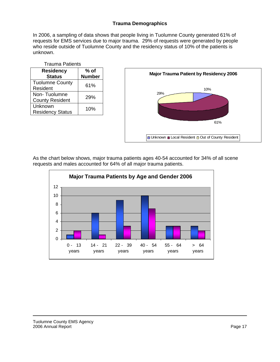## **Trauma Demographics**

In 2006, a sampling of data shows that people living in Tuolumne County generated 61% of requests for EMS services due to major trauma. 29% of requests were generated by people who reside outside of Tuolumne County and the residency status of 10% of the patients is unknown.

| <b>Trauma Patients</b>                 |                         |  |
|----------------------------------------|-------------------------|--|
| <b>Residency</b><br><b>Status</b>      | $%$ of<br><b>Number</b> |  |
| <b>Tuolumne County</b><br>Resident     | 61%                     |  |
| Non-Tuolumne<br><b>County Resident</b> | 29%                     |  |
| Unknown<br><b>Residency Status</b>     | 10%                     |  |



As the chart below shows, major trauma patients ages 40-54 accounted for 34% of all scene requests and males accounted for 64% of all major trauma patients.

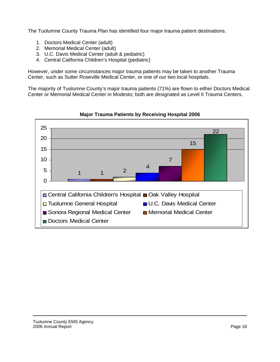The Tuolumne County Trauma Plan has identified four major trauma patient destinations.

- 1. Doctors Medical Center (adult)
- 2. Memorial Medical Center (adult)
- 3. U.C. Davis Medical Center (adult & pediatric)
- 4. Central California Children's Hospital (pediatric)

However, under some circumstances major trauma patients may be taken to another Trauma Center, such as Sutter Roseville Medical Center, or one of our two local hospitals.

The majority of Tuolumne County's major trauma patients (71%) are flown to either Doctors Medical Center or Memorial Medical Center in Modesto; both are designated as Level II Trauma Centers.



**Major Trauma Patients by Receiving Hospital 2006**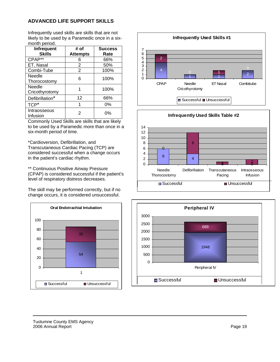#### **ADVANCED LIFE SUPPORT SKILLS**

Infrequently used skills are skills that are not likely to be used by a Paramedic once in a sixmonth period.

| Infrequent<br><b>Skills</b> | # of<br><b>Attempts</b> | <b>Success</b><br>Rate |
|-----------------------------|-------------------------|------------------------|
| CPAP**                      | 6                       | 66%                    |
| ET, Nasal                   | 2                       | 50%                    |
| Combi-Tube                  | $\overline{2}$          | 100%                   |
| Needle<br>Thorocostomy      | 6                       | 100%                   |
| Needle<br>Cricothyrotomy    |                         | 100%                   |
| Defibrillation*             | 12                      | 66%                    |
| TCP <sup>*</sup>            |                         | $0\%$                  |
| Intraosseous<br>Infusion    | 2                       | 0%                     |

Commonly Used Skills are skills that are likely to be used by a Paramedic more than once in a six-month period of time.

\*Cardioversion, Defibrillation, and Transcutaneous Cardiac Pacing (TCP) are considered successful when a change occurs in the patient's cardiac rhythm.

\*\* Continuous Positive Airway Pressure (CPAP) is considered successful if the patient's level of respiratory distress decreases.

The skill may be performed correctly, but if no change occurs, it is considered unsuccessful.







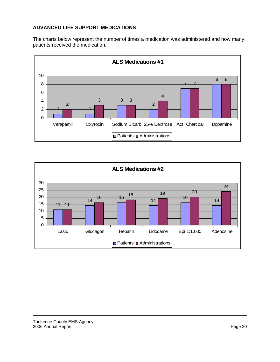# **ADVANCED LIFE SUPPORT MEDICATIONS**

The charts below represent the number of times a medication was administered and how many patients received the medication.



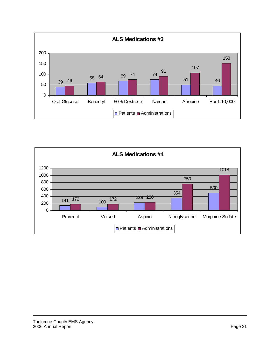